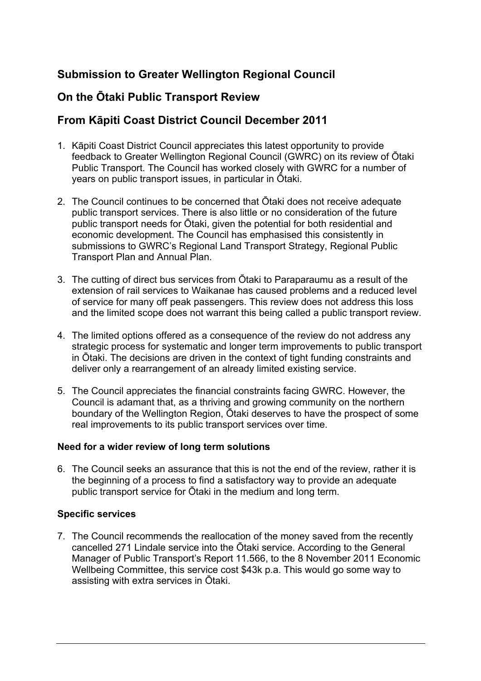# **Submission to Greater Wellington Regional Council**

# **On the Ōtaki Public Transport Review**

# **From Kāpiti Coast District Council December 2011**

- 1. Kāpiti Coast District Council appreciates this latest opportunity to provide feedback to Greater Wellington Regional Council (GWRC) on its review of Ōtaki Public Transport. The Council has worked closely with GWRC for a number of years on public transport issues, in particular in Ōtaki.
- 2. The Council continues to be concerned that Ōtaki does not receive adequate public transport services. There is also little or no consideration of the future public transport needs for Ōtaki, given the potential for both residential and economic development. The Council has emphasised this consistently in submissions to GWRC's Regional Land Transport Strategy, Regional Public Transport Plan and Annual Plan.
- 3. The cutting of direct bus services from Ōtaki to Paraparaumu as a result of the extension of rail services to Waikanae has caused problems and a reduced level of service for many off peak passengers. This review does not address this loss and the limited scope does not warrant this being called a public transport review.
- 4. The limited options offered as a consequence of the review do not address any strategic process for systematic and longer term improvements to public transport in Ōtaki. The decisions are driven in the context of tight funding constraints and deliver only a rearrangement of an already limited existing service.
- 5. The Council appreciates the financial constraints facing GWRC. However, the Council is adamant that, as a thriving and growing community on the northern boundary of the Wellington Region, Ōtaki deserves to have the prospect of some real improvements to its public transport services over time.

## **Need for a wider review of long term solutions**

6. The Council seeks an assurance that this is not the end of the review, rather it is the beginning of a process to find a satisfactory way to provide an adequate public transport service for Ōtaki in the medium and long term.

## **Specific services**

7. The Council recommends the reallocation of the money saved from the recently cancelled 271 Lindale service into the Ōtaki service. According to the General Manager of Public Transport's Report 11.566, to the 8 November 2011 Economic Wellbeing Committee, this service cost \$43k p.a. This would go some way to assisting with extra services in Ōtaki.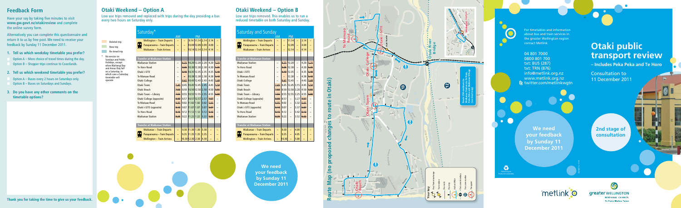Consultation to 11 December 2011

# **Feedback Form**

Have your say by taking five minutes to visit **www.gw.govt.nz/otakireview** and complete the online survey form.

Alternatively you can complete this questionnaire and return it to us by free post. We need to receive your feedback by Sunday 11 December 2011.

For timetables and information about bus and train services in about bus and train services in<br>the greater Wellington region

**1. Tell us which weekday timetable you prefer?**

Option A – More choice of travel times during the day. Option B – Shopper trips continue to Coastlands.

**2. Tell us which weekend timetable you prefer?**

Option A – Buses every 2 hours on Saturdays only. Option B – Buses on Saturdays and Sundays.

**3. Do you have any other comments on the timetable options?**

**Thank you for taking the time to give us your feedback.** 



Low use trips removed and replaced with trips during the day providing a bus every two hours on Saturday only.

**Deleted trip New trip Re-timed trip** \* No service on

CATLEY

 $\overline{\phantom{a}}$ 

OA <sup>R</sup> <sup>D</sup>

MORRISON ROAD

TE HORO HAUTERE CROSS ROAD MANGAONE NORTH ROAD

### **Otaki public transport review – Includes Peka Peka and Te Horo**  $\overline{\phantom{0}}$ SUTTON RD BEST ROAD SETTLEMENT DE

WAITAHEKE

PUKENAMU ROAD

to the contract of the contract of the contract of the contract of the contract of the contract of the contract of the contract of the contract of the contract of the contract of the contract of the contract of the contrac

| Saturday and Sunday     |                                     |          |       |                          |                          |      |      |  |  |  |  |
|-------------------------|-------------------------------------|----------|-------|--------------------------|--------------------------|------|------|--|--|--|--|
|                         |                                     | AM       |       | <b>PM</b>                |                          |      |      |  |  |  |  |
|                         | <b>Wellington - Train Departs</b>   | $\equiv$ |       | 11.14                    | -                        | 3.14 |      |  |  |  |  |
|                         | Paraparaumu - Train Departs         | -        |       | 12.09                    | $\qquad \qquad -$        | 4.09 |      |  |  |  |  |
|                         | <b>Waikanae - Train Arrives</b>     |          |       | 12.14                    |                          | 4.14 |      |  |  |  |  |
|                         |                                     |          |       |                          |                          |      |      |  |  |  |  |
|                         | <b>Transfer at Waikanae Station</b> |          |       |                          |                          |      |      |  |  |  |  |
|                         | <b>Waikanae Station</b>             |          |       | $8.25$ 12.20             | $\overline{\phantom{0}}$ | 4.20 | 5.25 |  |  |  |  |
|                         | Te Horo Road                        |          |       | $8.35$ 12.30             |                          | 4.30 | 5.35 |  |  |  |  |
| Otaki i-SITE            |                                     |          |       | $8.40$ 12.35             | $\overline{\phantom{0}}$ | 4.35 | 5.40 |  |  |  |  |
| Te Manuao Road          |                                     |          |       | 12.38                    | $\qquad \qquad -$        | 4.38 | 5.43 |  |  |  |  |
| Otaki College           |                                     |          |       | $8.42$   12.43           | $\qquad \qquad -$        | 4.43 | 5.48 |  |  |  |  |
| Otaki Town              |                                     |          | 8.45  | $12.45$ 3.15             |                          | 4.45 | 5:50 |  |  |  |  |
| Otaki Beach             |                                     |          | 8.50  |                          | 12.50 3.20               | 4.50 | 5.55 |  |  |  |  |
|                         | Otaki Town - Library                | 7.55     | 8.55  | 12.55 3.25               |                          | 4.55 | 6.00 |  |  |  |  |
|                         | Otaki College (opposite)            | 8.00     | 8.57  |                          | 3.27                     | 4.57 |      |  |  |  |  |
|                         | Te Manuao Road                      | 8.05     | 9.02  | $\overline{\phantom{0}}$ | 3.32                     | 5.02 |      |  |  |  |  |
| Otaki i-SITE (opposite) |                                     | 8.10     | 9.07  | $\overline{\phantom{0}}$ | 3.37                     | 5.07 |      |  |  |  |  |
| Te Horo Road            |                                     |          | 9.12  | $\overline{\phantom{0}}$ | 3.42                     | 5.12 |      |  |  |  |  |
| <b>Waikanae Station</b> |                                     |          | 9.22  |                          | 3.52                     | 5.22 |      |  |  |  |  |
|                         |                                     |          |       |                          |                          |      |      |  |  |  |  |
|                         | <b>Transfer at Waikanae Station</b> |          |       |                          |                          |      |      |  |  |  |  |
|                         | <b>Waikanae - Train Departs</b>     |          | 9.30  |                          | 4.00                     |      |      |  |  |  |  |
|                         | Paraparaumu - Train Departs         | ÷        | 9.35  |                          | 4.05                     |      |      |  |  |  |  |
|                         | <b>Wellington - Train Arrives</b>   |          | 10.30 |                          | 5.00                     |      |      |  |  |  |  |



**Te Hapua Road**



**Otaki Weekend – Option A**

|                                                    |                                         |                | Saturday <sup>*</sup>               |                          |   |                                 |                   |      |      |      |
|----------------------------------------------------|-----------------------------------------|----------------|-------------------------------------|--------------------------|---|---------------------------------|-------------------|------|------|------|
|                                                    |                                         |                |                                     | <b>AM</b>                |   |                                 | <b>PM</b>         |      |      |      |
|                                                    | Deleted trip                            |                | <b>Wellington - Train Departs</b>   | -                        | - |                                 | $9.14$ 11.14 2.14 |      | 3.14 |      |
|                                                    | New trip                                |                | Paraparaumu - Train Departs         | -                        |   | 10.09 12.09 3.09                |                   |      | 4.09 |      |
|                                                    | Re-timed trip                           |                | <b>Waikanae - Train Arrives</b>     | -                        |   | $10.14$ 12.14 3.14              |                   |      | 4.14 |      |
|                                                    | No service on                           |                |                                     |                          |   |                                 |                   |      |      |      |
|                                                    | <b>Sundays and Public</b>               |                | <b>Transfer at Waikanae Station</b> |                          |   |                                 |                   |      |      |      |
|                                                    | Holidays, except                        |                | <b>Waikanae Station</b>             | -                        |   | $8.25$ 10.20 12.20 2.20         |                   |      | 4.20 | 5.25 |
|                                                    | when Waitangi Day<br>and Anzac Day fall |                | <b>Te Horo Road</b>                 | -                        |   | $\frac{8.35}{10.30}$ 12.30 2.30 |                   |      | 4.30 | 5.35 |
|                                                    | on a Saturday, in                       |                | Otaki i-SITE                        |                          |   | $8.40$   10.35   12.35   2.35   |                   |      | 4.35 | 5.40 |
| which case a Saturday<br>timetable will<br>operate |                                         | Te Manuao Road |                                     |                          |   | 10.38 12.38 2.38                |                   |      | 4.38 | 5.43 |
|                                                    |                                         |                | Otaki College                       |                          |   | $8.42$   10.43   12.43   2.43   |                   |      | 4.43 | 5.48 |
|                                                    |                                         |                | Otaki Town                          | 7.45                     |   | 8.45 10.45 12.45 2.45           |                   |      | 4.45 | 5.50 |
|                                                    |                                         |                | Otaki Beach                         | 7.50                     |   | 8.50 10.50 12.50 2.50           |                   |      | 4.50 | 5.55 |
|                                                    |                                         |                | Otaki Town - Library                | 7.55                     |   | 8.55 10.55 12.55 2.55           |                   |      | 4.55 | 6.00 |
|                                                    |                                         |                | Otaki College (opposite)            | 8.00                     |   | 8.57 10.57 12.57 2.57           |                   |      | 4.57 |      |
|                                                    |                                         |                | Te Manuao Road                      |                          |   | $9.02$ 11.02 1.02               |                   | 3.02 | 5.02 |      |
|                                                    |                                         |                | Otaki i-SITE (opposite)             | 8.10                     |   | $9.07$ 11.07 1.07               |                   | 3.07 | 5.07 |      |
|                                                    |                                         |                | Te Horo Road                        | 8.15                     |   | $9.12$ 11.12 1.12               |                   | 3.12 | 5.12 |      |
|                                                    |                                         |                | <b>Waikanae Station</b>             | 8.25                     |   | $9.22$   11.22   1.22   3.22    |                   |      | 5.22 |      |
|                                                    |                                         |                |                                     |                          |   |                                 |                   |      |      |      |
|                                                    |                                         |                | <b>Transfer at Waikanae Station</b> |                          |   |                                 |                   |      |      |      |
|                                                    |                                         |                | Waikanae – Train Departs            | $\overline{\phantom{0}}$ |   | $9.30$   11.30   1.30           |                   | 3.30 | -    |      |
|                                                    |                                         |                | Paraparaumu - Train Departs         |                          |   | $9.35$   11.35   1.35           |                   | 3.35 |      |      |

Wellington – Train Arrives | – |10.30|12.30| 2.30 | 4.30 | – | –

**Otaki Weekend – Option B**

Low use trips removed. This enables us to run a reduced timetable on both Saturday and Sunday.

> **We need your feedback by Sunday 11 December 2011**

**2nd stage of consultation**